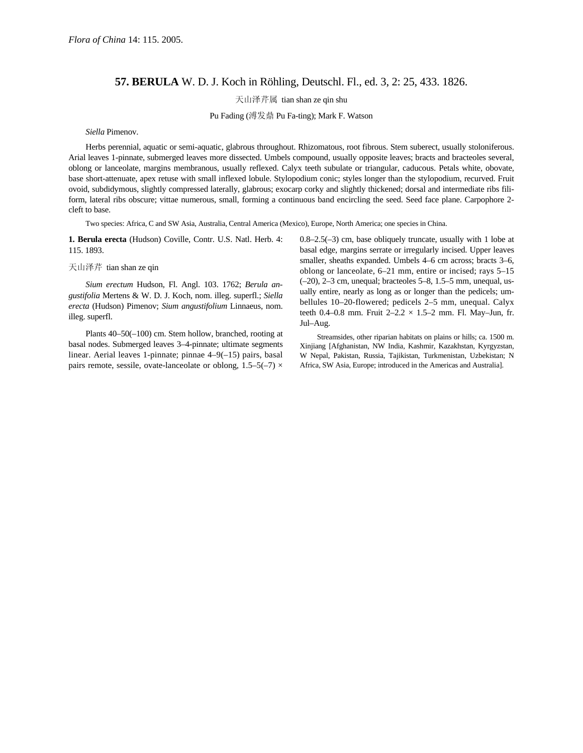## **57. BERULA** W. D. J. Koch in Röhling, Deutschl. Fl., ed. 3, 2: 25, 433. 1826.

天山泽芹属 tian shan ze qin shu

Pu Fading (溥发鼎 Pu Fa-ting); Mark F. Watson

*Siella* Pimenov.

Herbs perennial, aquatic or semi-aquatic, glabrous throughout. Rhizomatous, root fibrous. Stem suberect, usually stoloniferous. Arial leaves 1-pinnate, submerged leaves more dissected. Umbels compound, usually opposite leaves; bracts and bracteoles several, oblong or lanceolate, margins membranous, usually reflexed. Calyx teeth subulate or triangular, caducous. Petals white, obovate, base short-attenuate, apex retuse with small inflexed lobule. Stylopodium conic; styles longer than the stylopodium, recurved. Fruit ovoid, subdidymous, slightly compressed laterally, glabrous; exocarp corky and slightly thickened; dorsal and intermediate ribs filiform, lateral ribs obscure; vittae numerous, small, forming a continuous band encircling the seed. Seed face plane. Carpophore 2 cleft to base.

Two species: Africa, C and SW Asia, Australia, Central America (Mexico), Europe, North America; one species in China.

**1. Berula erecta** (Hudson) Coville, Contr. U.S. Natl. Herb. 4: 115. 1893.

天山泽芹 tian shan ze qin

*Sium erectum* Hudson, Fl. Angl. 103. 1762; *Berula angustifolia* Mertens & W. D. J. Koch, nom. illeg. superfl.; *Siella erecta* (Hudson) Pimenov; *Sium angustifolium* Linnaeus, nom. illeg. superfl.

Plants 40–50(–100) cm. Stem hollow, branched, rooting at basal nodes. Submerged leaves 3–4-pinnate; ultimate segments linear. Aerial leaves 1-pinnate; pinnae 4–9(–15) pairs, basal pairs remote, sessile, ovate-lanceolate or oblong,  $1.5-5(-7) \times$  0.8–2.5(–3) cm, base obliquely truncate, usually with 1 lobe at basal edge, margins serrate or irregularly incised. Upper leaves smaller, sheaths expanded. Umbels 4–6 cm across; bracts 3–6, oblong or lanceolate, 6–21 mm, entire or incised; rays 5–15  $(-20)$ ,  $2-3$  cm, unequal; bracteoles  $5-8$ ,  $1.5-5$  mm, unequal, usually entire, nearly as long as or longer than the pedicels; umbellules 10–20-flowered; pedicels 2–5 mm, unequal. Calyx teeth 0.4–0.8 mm. Fruit  $2-2.2 \times 1.5-2$  mm. Fl. May–Jun, fr. Jul–Aug.

Streamsides, other riparian habitats on plains or hills; ca. 1500 m. Xinjiang [Afghanistan, NW India, Kashmir, Kazakhstan, Kyrgyzstan, W Nepal, Pakistan, Russia, Tajikistan, Turkmenistan, Uzbekistan; N Africa, SW Asia, Europe; introduced in the Americas and Australia].